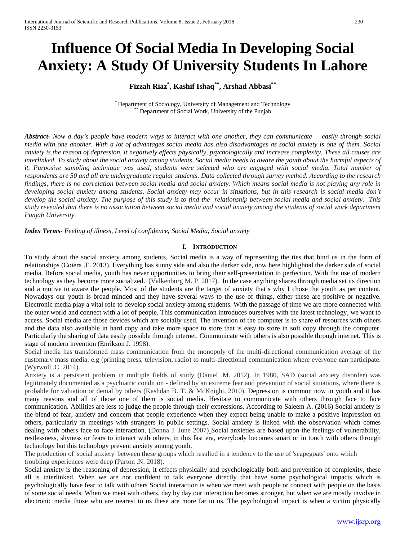# **Influence Of Social Media In Developing Social Anxiety: A Study Of University Students In Lahore**

# **Fizzah Riaz\* , Kashif Ishaq\*\*, Arshad Abbasi\*\***

\* Department of Sociology, University of Management and Technology \*\* Department of Social Work, University of the Punjab

*Abstract***-** *Now a day's people have modern ways to interact with one another, they can communicate easily through social media with one another. With a lot of advantages social media has also disadvantages as social anxiety is one of them. Social anxiety is the reason of depression, it negatively effects physically, psychologically and increase complexity. These all causes are interlinked. To study about the social anxiety among students, Social media needs to aware the youth about the harmful aspects of it. Purposive sampling technique was used, students were selected who are engaged with social media. Total number of respondents are 50 and all are undergraduate regular students. Data collected through survey method. According to the research findings, there is no correlation between social media and social anxiety. Which means social media is not playing any role in developing social anxiety among students. Social anxiety may occur in situations, but in this research is social media don't develop the social anxiety. The purpose of this study is to find the relationship between social media and social anxiety. This study revealed that there is no association between social media and social anxiety among the students of social work department Punjab University.*

*Index Terms*- *Feeling of illness, Level of confidence, Social Media, Social anxiety*

# **I. INTRODUCTION**

To study about the social anxiety among students, Social media is a way of representing the ties that bind us in the form of relationships (Coiera .E. 2013). Everything has sunny side and also the darker side, now here highlighted the darker side of social media. Before social media, youth has never opportunities to bring their self-presentation to perfection. With the use of modern technology as they become more socialized. (Valkenburg M. P. 2017). In the case anything shares through media set its direction and a motive to aware the people. Most of the students are the target of anxiety that's why I chose the youth as per content. Nowadays our youth is broad minded and they have several ways to the use of things, either these are positive or negative. Electronic media play a vital role to develop social anxiety among students. With the passage of time we are more connected with the outer world and connect with a lot of people. This communication introduces ourselves with the latest technology, we want to access. Social media are those devices which are socially used. The invention of the computer is to share of resources with others and the data also available in hard copy and take more space to store that is easy to store in soft copy through the computer. Particularly the sharing of data easily possible through internet. Communicate with others is also possible through internet. This is stage of modern invention (Enrikson J. 1998).

Social media has transformed mass communication from the monopoly of the multi-directional communication average of the customary mass media, e.g (printing press, television, radio) to multi-directional communication where everyone can participate. (Wyrwoll .C. 2014).

Anxiety is a persistent problem in multiple fields of study (Daniel .M. 2012). In 1980, SAD (social anxiety disorder) was legitimately documented as a psychiatric condition - defined by an extreme fear and prevention of social situations, where there is probable for valuation or denial by others (Kashdan B. T. & McKnight, 2010). Depression is common now in youth and it has many reasons and all of those one of them is social media. Hesitate to communicate with others through face to face communication. Abilities are less to judge the people through their expressions. According to Saleem A. (2016) Social anxiety is the blend of fear, anxiety and concern that people experience when they expect being unable to make a positive impression on others, particularly in meetings with strangers in public settings. Social anxiety is linked with the observation which comes dealing with others face to face interaction. (Donna J. June 2007) Social anxieties are based upon the feelings of vulnerability, restlessness, shyness or fears to interact with others, in this fast era, everybody becomes smart or in touch with others through technology but this technology prevent anxiety among youth.

The production of 'social anxiety' between these groups which resulted in a tendency to the use of 'scapegoats' onto which troubling experiences were deep (Parton .N. 2018).

Social anxiety is the reasoning of depression, it effects physically and psychologically both and prevention of complexity, these all is interlinked. When we are not confident to talk everyone directly that have some psychological impacts which is psychologically have fear to talk with others Social interaction is when we meet with people or connect with people on the basis of some social needs. When we meet with others, day by day our interaction becomes stronger, but when we are mostly involve in electronic media those who are nearest to us these are more far to us. The psychological impact is when a victim physically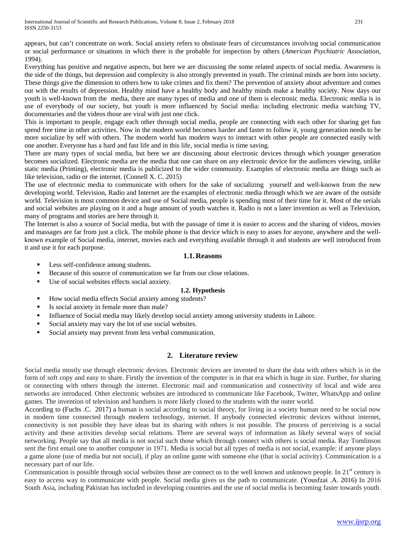appears, but can't concentrate on work. Social anxiety refers to obstinate fears of circumstances involving social communication or social performance or situations in which there is the probable for inspection by others (*American Psychiatric Association*, 1994).

Everything has positive and negative aspects, but here we are discussing the some related aspects of social media. Awareness is the side of the things, but depression and complexity is also strongly prevented in youth. The criminal minds are born into society. These things give the dimension to others how to take crimes and fix them? The prevention of anxiety about adventure and comes out with the results of depression. Healthy mind have a healthy body and healthy minds make a healthy society. Now days our youth is well-known from the media, there are many types of media and one of them is electronic media. Electronic media is in use of everybody of our society, but youth is more influenced by Social media: including electronic media watching TV, documentaries and the videos those are viral with just one click.

This is important to people, engage each other through social media, people are connecting with each other for sharing get fun spend free time in other activities. Now in the modern world becomes harder and faster to follow it, young generation needs to be more socialize by self with others. The modern world has modern ways to interact with other people are connected easily with one another. Everyone has a hard and fast life and in this life, social media is time saving.

There are many types of social media, but here we are discussing about electronic devices through which younger generation becomes socialized. Electronic media are the media that one can share on any electronic device for the audiences viewing, unlike static media (Printing), electronic media is publicized to the wider community. Examples of electronic media are things such as like television, radio or the internet. (Connell X. C. 2015)

The use of electronic media to communicate with others for the sake of socializing yourself and well-known from the new developing world. Television, Radio and Internet are the examples of electronic media through which we are aware of the outside world. Television is most common device and use of Social media, people is spending most of their time for it. Most of the serials and social websites are playing on it and a huge amount of youth watches it. Radio is not a later invention as well as Television, many of programs and stories are here through it.

The Internet is also a source of Social media, but with the passage of time it is easier to access and the sharing of videos, movies and massages are far from just a click. The mobile phone is that device which is easy to asses for anyone, anywhere and the wellknown example of Social media, internet, movies each and everything available through it and students are well introduced from it and use it for each purpose.

#### **1.1.Reasons**

- **Less self-confidence among students.**
- Because of this source of communication we far from our close relations.
- Use of social websites effects social anxiety.

#### **1.2. Hypothesis**

- How social media effects Social anxiety among students?
- Is social anxiety in female more than male?
- Influence of Social media may likely develop social anxiety among university students in Lahore.
- Social anxiety may vary the lot of use social websites.
- Social anxiety may prevent from less verbal communication.

# **2. Literature review**

Social media mostly use through electronic devices. Electronic devices are invented to share the data with others which is in the form of soft copy and easy to share. Firstly the invention of the computer is in that era which is huge in size. Further, for sharing or connecting with others through the internet. Electronic mail and communication and connectivity of local and wide area networks are introduced. Other electronic websites are introduced to communicate like Facebook, Twitter, WhatsApp and online games. The invention of television and handsets is more likely closed to the students with the outer world.

According to (Fuchs .C. 2017) a human is social according to social theory, for living in a society human need to be social now in modern time connected through modern technology, internet. If anybody connected electronic devices without internet, connectivity is not possible they have ideas but its sharing with others is not possible. The process of perceiving is a social activity and these activities develop social relations. There are several ways of information as likely several ways of social networking. People say that all media is not social such those which through connect with others is social media. Ray Tomlinson sent the first email one to another computer in 1971. Media is social but all types of media is not social, example: if anyone plays a game alone (use of media but not social), if play an online game with someone else (that is social activity). Communication is a necessary part of our life.

Communication is possible through social websites those are connect us to the well known and unknown people. In  $21<sup>st</sup>$  century is easy to access way to communicate with people. Social media gives us the path to communicate. (Yousfzai .A. 2016) In 2016 South Asia, including Pakistan has included in developing countries and the use of social media is becoming faster towards youth.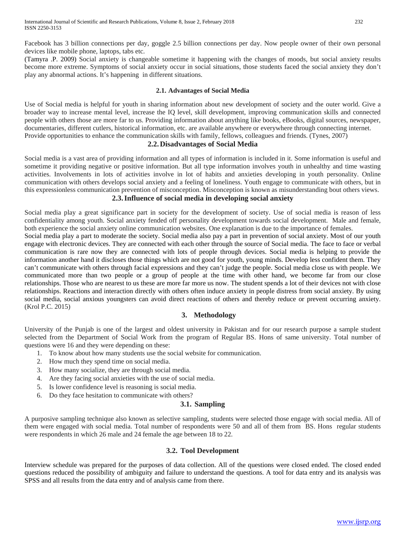(Tamyra .P. 2009) Social anxiety is changeable sometime it happening with the changes of moods, but social anxiety results become more extreme. Symptoms of social anxiety occur in social situations, those students faced the social anxiety they don't play any abnormal actions. It's happening in different situations.

#### **2.1. Advantages of Social Media**

Use of Social media is helpful for youth in sharing information about new development of society and the outer world. Give a broader way to increase mental level, increase the IQ level, skill development, improving communication skills and connected people with others those are more far to us. Providing information about anything like books, eBooks, digital sources, newspaper, documentaries, different cutlers, historical information, etc. are available anywhere or everywhere through connecting internet. Provide opportunities to enhance the communication skills with family, fellows, colleagues and friends. (Tynes, 2007)

# **2.2.Disadvantages of Social Media**

Social media is a vast area of providing information and all types of information is included in it. Some information is useful and sometime it providing negative or positive information. But all type information involves youth in unhealthy and time wasting activities. Involvements in lots of activities involve in lot of habits and anxieties developing in youth personality. Online communication with others develops social anxiety and a feeling of loneliness. Youth engage to communicate with others, but in this expressionless communication prevention of misconception. Misconception is known as misunderstanding bout others views.

# **2.3.Influence of social media in developing social anxiety**

Social media play a great significance part in society for the development of society. Use of social media is reason of less confidentiality among youth. Social anxiety fended off personality development towards social development. Male and female, both experience the social anxiety online communication websites. One explanation is due to the importance of females.

Social media play a part to moderate the society. Social media also pay a part in prevention of social anxiety. Most of our youth engage with electronic devices. They are connected with each other through the source of Social media. The face to face or verbal communication is rare now they are connected with lots of people through devices. Social media is helping to provide the information another hand it discloses those things which are not good for youth, young minds. Develop less confident them. They can't communicate with others through facial expressions and they can't judge the people. Social media close us with people. We communicated more than two people or a group of people at the time with other hand, we become far from our close relationships. Those who are nearest to us these are more far more us now. The student spends a lot of their devices not with close relationships. Reactions and interaction directly with others often induce anxiety in people distress from social anxiety. By using social media, social anxious youngsters can avoid direct reactions of others and thereby reduce or prevent occurring anxiety. (Krol P.C. 2015)

# **3. Methodology**

University of the Punjab is one of the largest and oldest university in Pakistan and for our research purpose a sample student selected from the Department of Social Work from the program of Regular BS. Hons of same university. Total number of questions were 16 and they were depending on these:

- 1. To know about how many students use the social website for communication.
- 2. How much they spend time on social media.
- 3. How many socialize, they are through social media.
- 4. Are they facing social anxieties with the use of social media.
- 5. Is lower confidence level is reasoning is social media.
- 6. Do they face hesitation to communicate with others?

# **3.1. Sampling**

A purposive sampling technique also known as selective sampling, students were selected those engage with social media. All of them were engaged with social media. Total number of respondents were 50 and all of them from BS. Hons regular students were respondents in which 26 male and 24 female the age between 18 to 22.

# **3.2. Tool Development**

Interview schedule was prepared for the purposes of data collection. All of the questions were closed ended. The closed ended questions reduced the possibility of ambiguity and failure to understand the questions. A tool for data entry and its analysis was SPSS and all results from the data entry and of analysis came from there.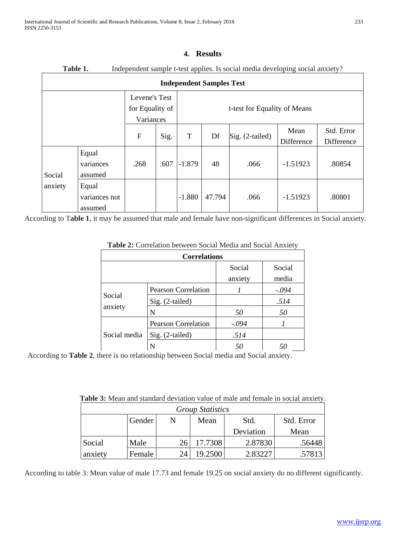| Table 1.<br>Independent sample t-test applies. Is social media developing social anxiety? |                                   |             |                              |          |        |                   |                    |                          |  |
|-------------------------------------------------------------------------------------------|-----------------------------------|-------------|------------------------------|----------|--------|-------------------|--------------------|--------------------------|--|
| <b>Independent Samples Test</b>                                                           |                                   |             |                              |          |        |                   |                    |                          |  |
| Levene's Test<br>for Equality of<br>Variances                                             |                                   |             | t-test for Equality of Means |          |        |                   |                    |                          |  |
|                                                                                           |                                   | $\mathbf F$ | Sig.                         | T        | Df     | $Sig. (2-tailed)$ | Mean<br>Difference | Std. Error<br>Difference |  |
| Social                                                                                    | Equal<br>variances<br>assumed     | .268        | .607                         | $-1.879$ | 48     | .066              | $-1.51923$         | .80854                   |  |
| anxiety                                                                                   | Equal<br>variances not<br>assumed |             |                              | $-1.880$ | 47.794 | .066              | $-1.51923$         | .80801                   |  |

# **4. Results**

According to T**able 1**, it may be assumed that male and female have non-significant differences in Social anxiety.

| <b>Tubic 2.</b> Contention between boent integra and boent Tubicty |                            |         |        |  |  |
|--------------------------------------------------------------------|----------------------------|---------|--------|--|--|
| <b>Correlations</b>                                                |                            |         |        |  |  |
|                                                                    |                            | Social  | Social |  |  |
|                                                                    |                            | anxiety | media  |  |  |
|                                                                    | <b>Pearson Correlation</b> |         | -.094  |  |  |
| Social                                                             | Sig. (2-tailed)            |         | .514   |  |  |
| anxiety                                                            | N                          | 50      | 50     |  |  |
|                                                                    | <b>Pearson Correlation</b> | -.094   |        |  |  |
| Social media                                                       | Sig. (2-tailed)            | .514    |        |  |  |
|                                                                    |                            | 50      |        |  |  |

**Table 2:** Correlation between Social Media and Social Anxiety

According to **Table 2**, there is no relationship between Social media and Social anxiety.

| Table 3: Mean and standard deviation value of male and female in social anxiety. |  |
|----------------------------------------------------------------------------------|--|
|----------------------------------------------------------------------------------|--|

| <b>Group Statistics</b> |        |    |         |           |            |  |  |
|-------------------------|--------|----|---------|-----------|------------|--|--|
|                         | Gender |    | Mean    | Std.      | Std. Error |  |  |
|                         |        |    |         | Deviation | Mean       |  |  |
| Social                  | Male   |    | 17.7308 | 2.87830   | .56448     |  |  |
| anxiety                 | Female | 24 | 19.2500 | 2.83227   | .57813     |  |  |

According to table 3: Mean value of male 17.73 and female 19.25 on social anxiety do no different significantly.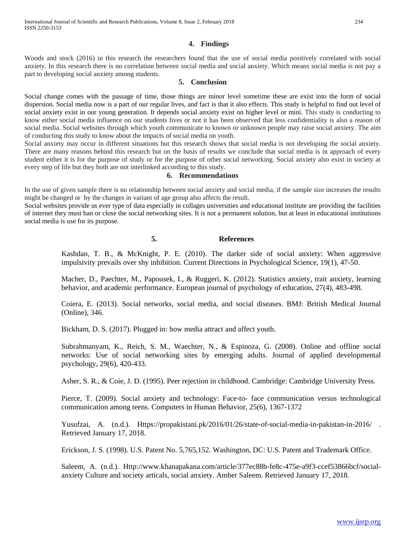# **4. Findings**

Woods and stock (2016) in this research the researchers found that the use of social media positively correlated with social anxiety. In this research there is no correlation between social media and social anxiety. Which means social media is not pay a part to developing social anxiety among students.

#### **5. Conclusion**

Social change comes with the passage of time, those things are minor level sometime these are exist into the form of social dispersion. Social media now is a part of our regular lives, and fact is that it also effects. This study is helpful to find out level of social anxiety exist in our young generation. It depends social anxiety exist on higher level or mini. This study is conducting to know either social media influence on our students lives or not it has been observed that less confidentiality is also a reason of social media. Social websites through which youth communicate to known or unknown people may raise social anxiety. The aim of conducting this study to know about the impacts of social media on youth.

Social anxiety may occur in different situations but this research shows that social media is not developing the social anxiety. There are many reasons behind this research but on the basis of results we conclude that social media is in approach of every student either it is for the purpose of study or for the purpose of other social networking. Social anxiety also exist in society at every step of life but they both are not interlinked according to this study.

#### **6. Recommendations**

In the use of given sample there is no relationship between social anxiety and social media, if the sample size increases the results might be changed or by the changes in variant of age group also affects the result.

Social websites provide us ever type of data especially in collages universities and educational institute are providing the facilities of internet they must ban or close the social networking sites. It is not a permanent solution, but at least in educational institutions social media is use for its purpose.

#### **5. References**

Kashdan, T. B., & McKnight, P. E. (2010). The darker side of social anxiety: When aggressive impulsivity prevails over shy inhibition. Current Directions in Psychological Science, 19(1), 47-50.

Macher, D., Paechter, M., Papousek, I., & Ruggeri, K. (2012). Statistics anxiety, trait anxiety, learning behavior, and academic performance. European journal of psychology of education, 27(4), 483-498.

Coiera, E. (2013). Social networks, social media, and social diseases. BMJ: British Medical Journal (Online), 346.

Bickham, D. S. (2017). Plugged in: how media attract and affect youth.

Subrahmanyam, K., Reich, S. M., Waechter, N., & Espinoza, G. (2008). Online and offline social networks: Use of social networking sites by emerging adults. Journal of applied developmental psychology, 29(6), 420-433.

Asher, S. R., & Coie, J. D. (1995). Peer rejection in childhood. Cambridge: Cambridge University Press.

Pierce, T. (2009). Social anxiety and technology: Face-to- face communication versus technological communication among teens. Computers in Human Behavior, 25(6), 1367-1372

Yusufzai, A. (n.d.). Https://propakistani.pk/2016/01/26/state-of-social-media-in-pakistan-in-2016/ . Retrieved January 17, 2018.

Erickson, J. S. (1998). U.S. Patent No. 5,765,152. Washington, DC: U.S. Patent and Trademark Office.

Saleem, A. (n.d.). Http://www.khanapakana.com/article/377ec88b-fe8c-475e-a9f3-ccef53866bcf/socialanxiety Culture and society articals, social anxiety. Amber Saleem. Retrieved January 17, 2018.